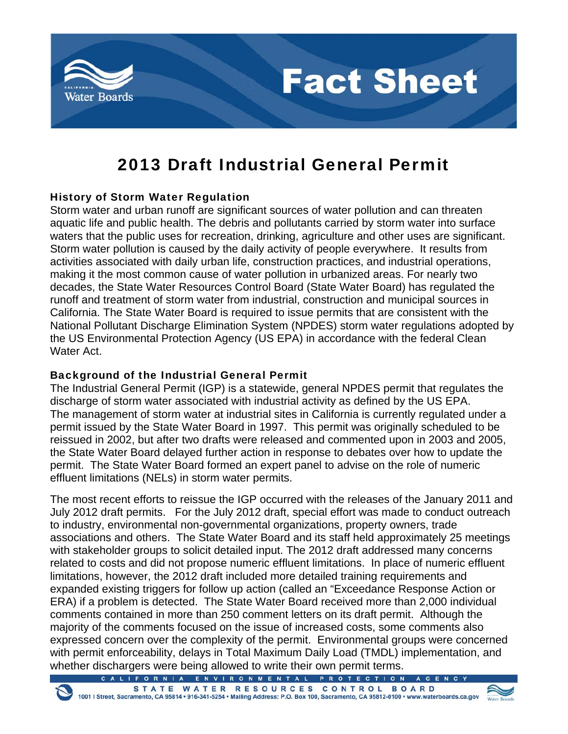

# **Fact Sheet**

## 2013 Draft Industrial General Permit

#### History of Storm Water Regulation

Storm water and urban runoff are significant sources of water pollution and can threaten aquatic life and public health. The debris and pollutants carried by storm water into surface waters that the public uses for recreation, drinking, agriculture and other uses are significant. Storm water pollution is caused by the daily activity of people everywhere. It results from activities associated with daily urban life, construction practices, and industrial operations, making it the most common cause of water pollution in urbanized areas. For nearly two decades, the State Water Resources Control Board (State Water Board) has regulated the runoff and treatment of storm water from industrial, construction and municipal sources in California. The State Water Board is required to issue permits that are consistent with the National Pollutant Discharge Elimination System (NPDES) storm water regulations adopted by the US Environmental Protection Agency (US EPA) in accordance with the federal Clean Water Act.

#### Background of the Industrial General Permit

The Industrial General Permit (IGP) is a statewide, general NPDES permit that regulates the discharge of storm water associated with industrial activity as defined by the US EPA. The management of storm water at industrial sites in California is currently regulated under a permit issued by the State Water Board in 1997. This permit was originally scheduled to be reissued in 2002, but after two drafts were released and commented upon in 2003 and 2005, the State Water Board delayed further action in response to debates over how to update the permit. The State Water Board formed an expert panel to advise on the role of numeric effluent limitations (NELs) in storm water permits.

The most recent efforts to reissue the IGP occurred with the releases of the January 2011 and July 2012 draft permits. For the July 2012 draft, special effort was made to conduct outreach to industry, environmental non-governmental organizations, property owners, trade associations and others. The State Water Board and its staff held approximately 25 meetings with stakeholder groups to solicit detailed input. The 2012 draft addressed many concerns related to costs and did not propose numeric effluent limitations. In place of numeric effluent limitations, however, the 2012 draft included more detailed training requirements and expanded existing triggers for follow up action (called an "Exceedance Response Action or ERA) if a problem is detected. The State Water Board received more than 2,000 individual comments contained in more than 250 comment letters on its draft permit. Although the majority of the comments focused on the issue of increased costs, some comments also expressed concern over the complexity of the permit. Environmental groups were concerned with permit enforceability, delays in Total Maximum Daily Load (TMDL) implementation, and whether dischargers were being allowed to write their own permit terms.

ALIFORNIA ENVIRONMENTAL PROTEC